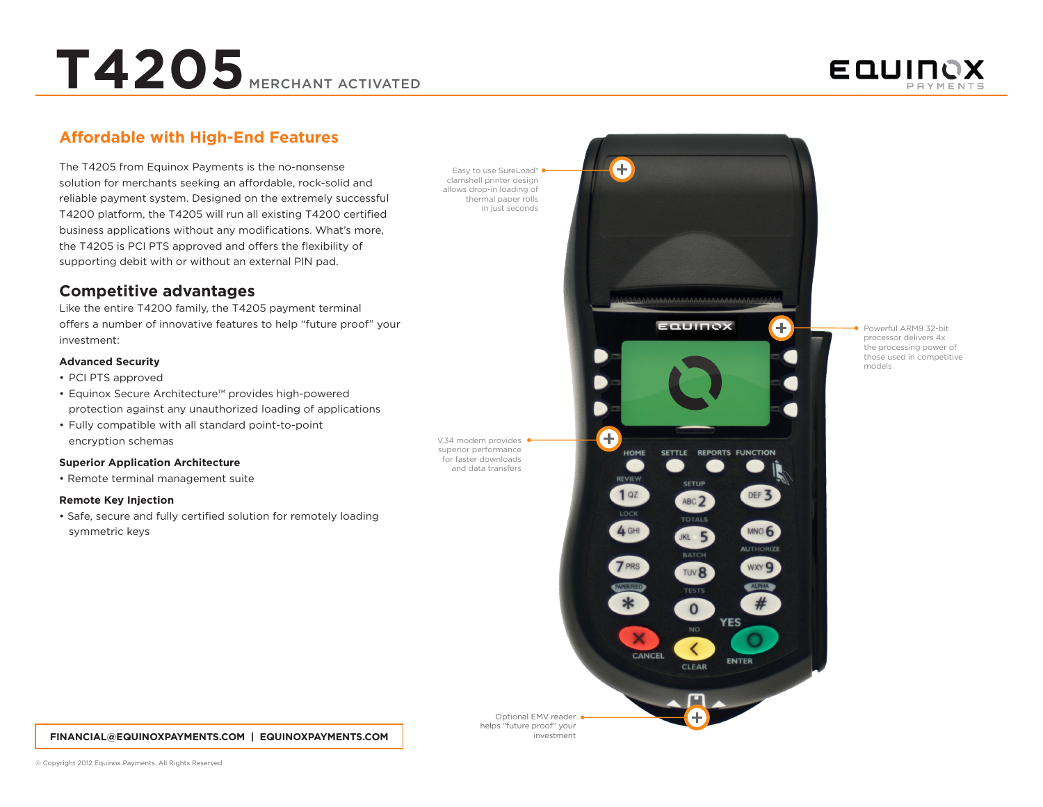**T4205** MERCHANT ACTIVATED



## **Affordable with High-End Features**

The T4205 from Equinox Payments is the no-nonsense solution for merchants seeking an affordable, rock-solid and reliable payment system. Designed on the extremely successful T4200 platform, the T4205 will run all existing T4200 certified business applications without any modifications. What's more, the T4205 is PCI PTS approved and offers the flexibility of supporting debit with or without an external PIN pad.

### **Competitive advantages**

Like the entire T4200 family, the T4205 payment terminal offers a number of innovative features to help "future proof" your investment:

#### **Advanced Security**

- PCI PTS approved
- • Equinox Secure Architecture™ provides high-powered protection against any unauthorized loading of applications
- • Fully compatible with all standard point-to-point encryption schemas

#### **Superior Application Architecture**

• Remote terminal management suite

#### **Remote Key Injection**

• Safe, secure and fully certified solution for remotely loading symmetric keys

Easy to use SureLoad® clamshell printer design allows drop-in loading of thermal paper rolls in just seconds

V.34 modem provides superior performance for faster downloads and data transfers



Ŧ

Powerful ARM9 32-bit processor delivers 4x the processing power of those used in competitive models

#### **FINANCIAL@EQUINOXPAYMENTS.COM | EQUINOXPAYMENTS.COM**